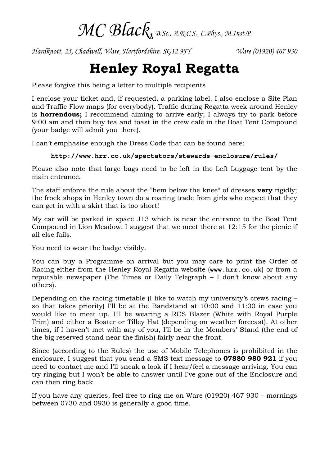MC Black, B.Sc., A.R.C.S., C.Phys., M.Inst.P.

Hardknott, 25, Chadwell, Ware, Hertfordshire. SG12 9JY Ware (01920) 467 930

## Henley Royal Regatta

Please forgive this being a letter to multiple recipients

I enclose your ticket and, if requested, a parking label. I also enclose a Site Plan and Traffic Flow maps (for everybody). Traffic during Regatta week around Henley is **horrendous;** I recommend aiming to arrive early; I always try to park before 9:00 am and then buy tea and toast in the crew café in the Boat Tent Compound (your badge will admit you there).

I can't emphasise enough the Dress Code that can be found here:

## **http://www.hrr.co.uk/spectators/stewards-enclosure/rules/**

Please also note that large bags need to be left in the Left Luggage tent by the main entrance.

The staff enforce the rule about the "hem below the knee" of dresses **very** rigidly; the frock shops in Henley town do a roaring trade from girls who expect that they can get in with a skirt that is too short!

My car will be parked in space J13 which is near the entrance to the Boat Tent Compound in Lion Meadow. I suggest that we meet there at 12:15 for the picnic if all else fails.

You need to wear the badge visibly.

You can buy a Programme on arrival but you may care to print the Order of Racing either from the Henley Royal Regatta website (**www.hrr.co.uk**) or from a reputable newspaper (The Times or Daily Telegraph – I don't know about any others).

Depending on the racing timetable (I like to watch my university's crews racing – so that takes priority) I'll be at the Bandstand at 10:00 and 11:00 in case you would like to meet up. I'll be wearing a RCS Blazer (White with Royal Purple Trim) and either a Boater or Tilley Hat (depending on weather forecast). At other times, if I haven't met with any of you, I'll be in the Members' Stand (the end of the big reserved stand near the finish) fairly near the front.

Since (according to the Rules) the use of Mobile Telephones is prohibited in the enclosure, I suggest that you send a SMS text message to 07880 980 921 if you need to contact me and I'll sneak a look if I hear/feel a message arriving. You can try ringing but I won't be able to answer until I've gone out of the Enclosure and can then ring back.

If you have any queries, feel free to ring me on Ware (01920) 467 930 – mornings between 0730 and 0930 is generally a good time.